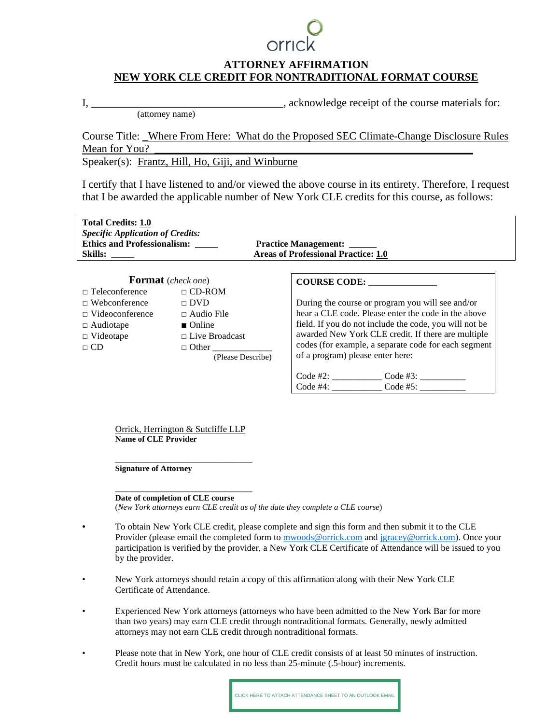## **ATTORNEY AFFIRMATION NEW YORK CLE CREDIT FOR NONTRADITIONAL FORMAT COURSE**

I, the course materials for the course materials for  $\mathbf{I}$ , acknowledge receipt of the course materials for:

(attorney name)

Course Title: \_Where From Here: What do the Proposed SEC Climate-Change Disclosure Rules Mean for You?

Speaker(s): Frantz, Hill, Ho, Giji, and Winburne

I certify that I have listened to and/or viewed the above course in its entirety. Therefore, I request that I be awarded the applicable number of New York CLE credits for this course, as follows:

| <b>Total Credits: 1.0</b><br><b>Specific Application of Credits:</b><br><b>Ethics and Professionalism:</b><br>Skills: |                                   | <b>Practice Management:</b><br><b>Areas of Professional Practice: 1.0</b>                |
|-----------------------------------------------------------------------------------------------------------------------|-----------------------------------|------------------------------------------------------------------------------------------|
| <b>Format</b> (check one)                                                                                             |                                   | COURSE CODE: ________________                                                            |
| $\Box$ Teleconference                                                                                                 | $\Box$ CD-ROM                     |                                                                                          |
| $\Box$ Webconference                                                                                                  | $\sqcap$ DVD                      | During the course or program you will see and/or                                         |
| $\Box$ Videoconference                                                                                                | $\Box$ Audio File                 | hear a CLE code. Please enter the code in the above                                      |
| $\Box$ Audiotape                                                                                                      | $\blacksquare$ Online             | field. If you do not include the code, you will not be                                   |
| $\Box$ Videotape                                                                                                      | $\Box$ Live Broadcast             | awarded New York CLE credit. If there are multiple                                       |
| $\Box$ CD                                                                                                             | $\Box$ Other<br>(Please Describe) | codes (for example, a separate code for each segment<br>of a program) please enter here: |
|                                                                                                                       |                                   |                                                                                          |
|                                                                                                                       |                                   |                                                                                          |

Orrick, Herrington & Sutcliffe LLP **Name of CLE Provider** 

\_\_\_\_\_\_\_\_\_\_\_\_\_\_\_\_\_\_\_\_\_\_\_\_\_\_\_\_\_\_ **Signature of Attorney** 

\_\_\_\_\_\_\_\_\_\_\_\_\_\_\_\_\_\_\_\_\_\_\_\_\_\_\_\_\_\_ **Date of completion of CLE course** 

(*New York attorneys earn CLE credit as of the date they complete a CLE course*)

- To obtain New York CLE credit, please complete and sign this form and then submit it to the CLE Provider (please email the completed form t[o mwoods@orrick.com](mailto:mwoods@orrick.com) an[d jgracey@orrick.com\)](mailto:jgracey@orrick.com). Once your participation is verified by the provider, a New York CLE Certificate of Attendance will be issued to you by the provider.
- New York attorneys should retain a copy of this affirmation along with their New York CLE Certificate of Attendance.
- Experienced New York attorneys (attorneys who have been admitted to the New York Bar for more than two years) may earn CLE credit through nontraditional formats. Generally, newly admitted attorneys may not earn CLE credit through nontraditional formats.
- Please note that in New York, one hour of CLE credit consists of at least 50 minutes of instruction. Credit hours must be calculated in no less than 25-minute (.5-hour) increments.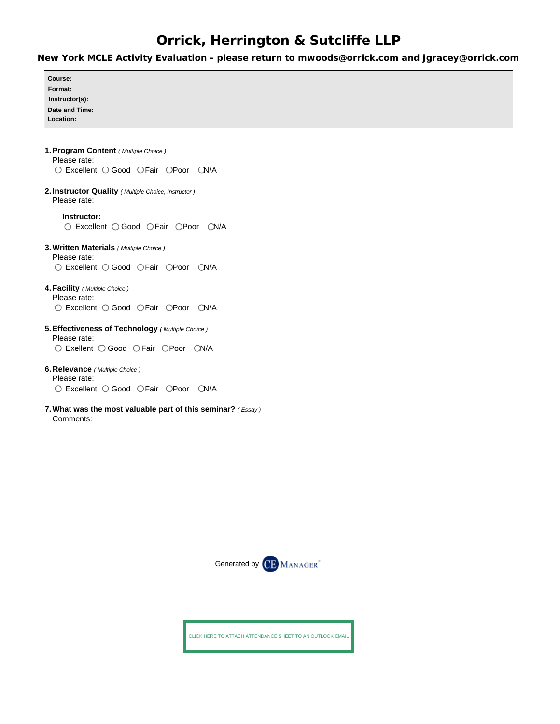## **Orrick, Herrington & Sutcliffe LLP**

**New York MCLE Activity Evaluation - please return to mwoods@orrick.com and jgracey@orrick.com**

| Course:                                                     |
|-------------------------------------------------------------|
| Format:                                                     |
| Instructor(s):                                              |
| Date and Time:                                              |
| Location:                                                   |
|                                                             |
|                                                             |
|                                                             |
| 1. Program Content (Multiple Choice)<br>Please rate:        |
|                                                             |
| ○ Excellent ○ Good ○ Fair ○ Poor ○ N/A                      |
|                                                             |
| 2. Instructor Quality (Multiple Choice, Instructor)         |
| Please rate:                                                |
| Instructor:                                                 |
|                                                             |
| ○ Excellent ○ Good ○ Fair ○ Poor ○ N/A                      |
|                                                             |
| 3. Written Materials (Multiple Choice)                      |
| Please rate:                                                |
| ○ Excellent ○ Good ○ Fair ○ Poor ○ N/A                      |
|                                                             |
| 4. Facility (Multiple Choice)                               |
| Please rate:                                                |
| ○ Excellent ○ Good ○ Fair ○ Poor ○ N/A                      |
|                                                             |
| 5. Effectiveness of Technology (Multiple Choice)            |
| Please rate:                                                |
| ○ Exellent ○ Good ○ Fair ○ Poor ○ N/A                       |
|                                                             |
| 6. Relevance (Multiple Choice)                              |
| Please rate:                                                |
| ○ Excellent ○ Good ○ Fair ○ Poor ○ N/A                      |
|                                                             |
|                                                             |
| 7. What was the most valuable part of this seminar? (Essay) |
| Comments:                                                   |



CLICK HERE TO ATTACH ATTENDANCE SHEET TO AN OUTLOOK EMAIL